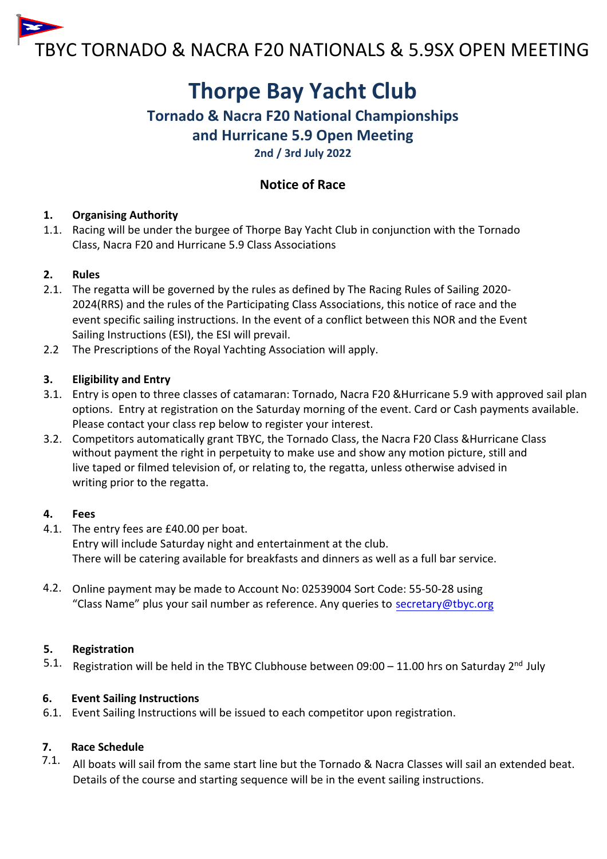

# **Thorpe Bay Yacht Club**

# **Tornado & Nacra F20 National Championships and Hurricane 5.9 Open Meeting**

**2nd / 3rd July 2022**

# **Notice of Race**

## **1. Organising Authority**

1.1. Racing will be under the burgee of Thorpe Bay Yacht Club in conjunction with the Tornado Class, Nacra F20 and Hurricane 5.9 Class Associations

### **2. Rules**

- 2.1. The regatta will be governed by the rules as defined by The Racing Rules of Sailing 2020- 2024(RRS) and the rules of the Participating Class Associations, this notice of race and the event specific sailing instructions. In the event of a conflict between this NOR and the Event Sailing Instructions (ESI), the ESI will prevail.
- 2.2 The Prescriptions of the Royal Yachting Association will apply.

# **3. Eligibility and Entry**

- 3.1. Entry is open to three classes of catamaran: Tornado, Nacra F20 &Hurricane 5.9 with approved sail plan options. Entry [at registration](http://www.tbyc.org/) on the Saturday morning of the event. Card or Cash payments available. Please contact your class rep below to register your interest.
- 3.2. Competitors automatically grant TBYC, the Tornado Class, the Nacra F20 Class &Hurricane Class without payment the right in perpetuity to make use and show any motion picture, still and live taped or filmed television of, or relating to, the regatta, unless otherwise advised in writing prior to the regatta.

### **4. Fees**

- 4.1. The entry fees are £40.00 per boat. Entry will include Saturday night and entertainment at the club. There will be catering available for breakfasts and dinners as well as a full bar service.
- 4.2. Online payment may be made to Account No: 02539004 Sort Code: 55-50-28 using "Class Name" plus your sail number as reference. Any queries to secretary@tbyc.org

# **5. Registration**

5.1. Registration will be held in the TBYC Clubhouse between 09:00 – 11.00 hrs on Saturday 2<sup>nd</sup> July

# **6. Event Sailing Instructions**

6.1. Event Sailing Instructions will be issued to each competitor upon registration.

# **7. Race Schedule**

7.1. All boats will sail from the same start line but the Tornado & Nacra Classes will sail an extended beat. Details of the course and starting sequence will be in the event sailing instructions.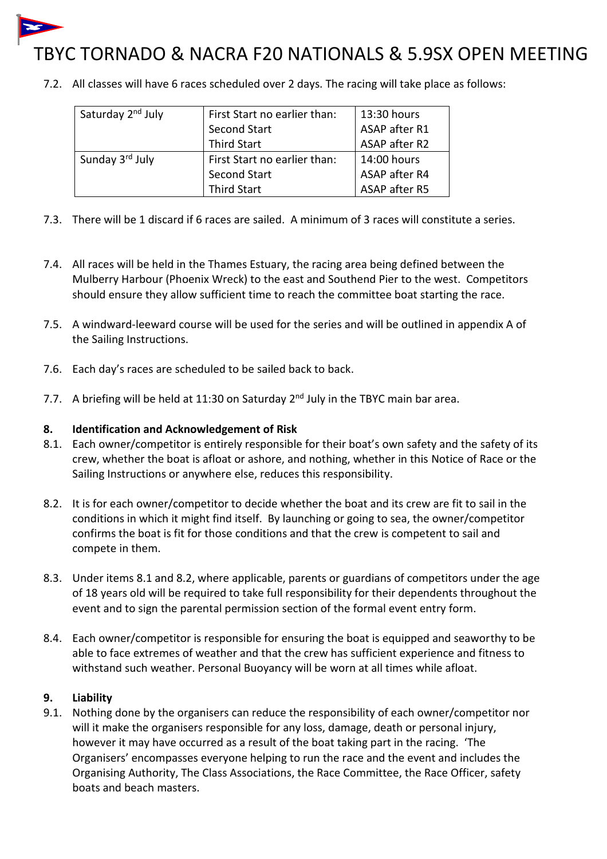

# TBYC TORNADO & NACRA F20 NATIONALS & 5.9SX OPEN MEETING

7.2. All classes will have 6 races scheduled over 2 days. The racing will take place as follows:

| Saturday 2 <sup>nd</sup> July | First Start no earlier than: | 13:30 hours   |
|-------------------------------|------------------------------|---------------|
|                               | Second Start                 | ASAP after R1 |
|                               | <b>Third Start</b>           | ASAP after R2 |
| Sunday 3rd July               | First Start no earlier than: | 14:00 hours   |
|                               | Second Start                 | ASAP after R4 |
|                               | <b>Third Start</b>           | ASAP after R5 |

- 7.3. There will be 1 discard if 6 races are sailed. A minimum of 3 races will constitute a series.
- 7.4. All races will be held in the Thames Estuary, the racing area being defined between the Mulberry Harbour (Phoenix Wreck) to the east and Southend Pier to the west. Competitors should ensure they allow sufficient time to reach the committee boat starting the race.
- 7.5. A windward-leeward course will be used for the series and will be outlined in appendix A of the Sailing Instructions.
- 7.6. Each day's races are scheduled to be sailed back to back.
- 7.7. A briefing will be held at 11:30 on Saturday 2<sup>nd</sup> July in the TBYC main bar area.

#### **8. Identification and Acknowledgement of Risk**

- 8.1. Each owner/competitor is entirely responsible for their boat's own safety and the safety of its crew, whether the boat is afloat or ashore, and nothing, whether in this Notice of Race or the Sailing Instructions or anywhere else, reduces this responsibility.
- 8.2. It is for each owner/competitor to decide whether the boat and its crew are fit to sail in the conditions in which it might find itself. By launching or going to sea, the owner/competitor confirms the boat is fit for those conditions and that the crew is competent to sail and compete in them.
- 8.3. Under items 8.1 and 8.2, where applicable, parents or guardians of competitors under the age of 18 years old will be required to take full responsibility for their dependents throughout the event and to sign the parental permission section of the formal event entry form.
- 8.4. Each owner/competitor is responsible for ensuring the boat is equipped and seaworthy to be able to face extremes of weather and that the crew has sufficient experience and fitness to withstand such weather. Personal Buoyancy will be worn at all times while afloat.

#### **9. Liability**

9.1. Nothing done by the organisers can reduce the responsibility of each owner/competitor nor will it make the organisers responsible for any loss, damage, death or personal injury, however it may have occurred as a result of the boat taking part in the racing. 'The Organisers' encompasses everyone helping to run the race and the event and includes the Organising Authority, The Class Associations, the Race Committee, the Race Officer, safety boats and beach masters.